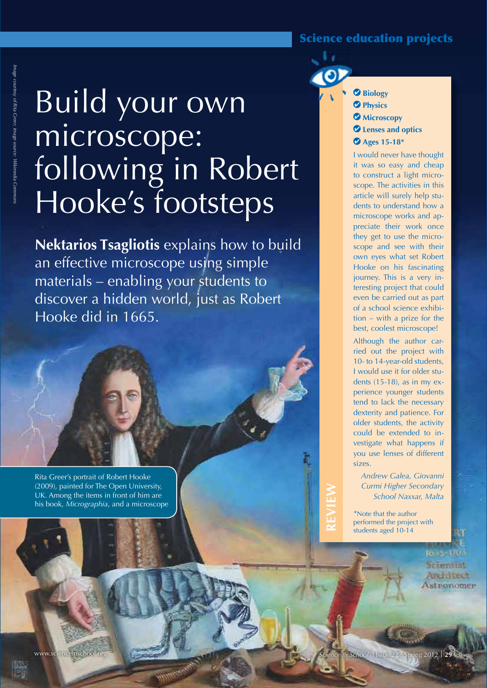# Science education projects

# Build your own microscope: following in Robert Hooke's footsteps

**Nektarios Tsagliotis** explains how to build an effective microscope using simple materials – enabling your students to discover a hidden world, just as Robert Hooke did in 1665.

Rita Greer's portrait of Robert Hooke (2009), painted for The Open University, UK. Among the items in front of him are his book, *Micrographia*, and a microscope  **Biology Physics**

- *Microscopy*
- **Lenses and optics**
- **Ages 15-18\***

I would never have thought it was so easy and cheap to construct a light microscope. The activities in this article will surely help students to understand how a microscope works and appreciate their work once they get to use the microscope and see with their own eyes what set Robert Hooke on his fascinating journey. This is a very interesting project that could even be carried out as part of a school science exhibition – with a prize for the best, coolest microscope!

Although the author carried out the project with 10- to 14-year-old students, I would use it for older students (15-18), as in my experience younger students tend to lack the necessary dexterity and patience. For older students, the activity could be extended to investigate what happens if you use lenses of different sizes.

*Andrew Galea, Giovanni Curmi Higher Secondary School Naxxar, Malta*

*\**Note that the author performed the project with students aged 10-14

**REVIEW**

1835-3703

**Scientiat** Andritect Astronomer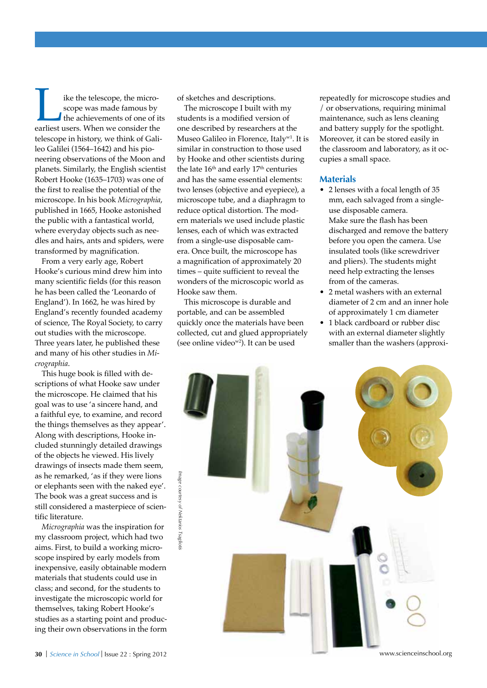**Exercise School**<br>
scope was made famous by<br>
the achievements of one of it<br>
earliest users. When we consider the scope was made famous by the achievements of one of its telescope in history, we think of Galileo Galilei (1564–1642) and his pioneering observations of the Moon and planets. Similarly, the English scientist Robert Hooke (1635–1703) was one of the first to realise the potential of the microscope. In his book *Micrographia*, published in 1665, Hooke astonished the public with a fantastical world, where everyday objects such as needles and hairs, ants and spiders, were transformed by magnification.

From a very early age, Robert Hooke's curious mind drew him into many scientific fields (for this reason he has been called the 'Leonardo of England'). In 1662, he was hired by England's recently founded academy of science, The Royal Society, to carry out studies with the microscope. Three years later, he published these and many of his other studies in *Micrographia*.

This huge book is filled with descriptions of what Hooke saw under the microscope. He claimed that his goal was to use 'a sincere hand, and a faithful eye, to examine, and record the things themselves as they appear'. Along with descriptions, Hooke included stunningly detailed drawings of the objects he viewed. His lively drawings of insects made them seem, as he remarked, 'as if they were lions or elephants seen with the naked eye'. The book was a great success and is still considered a masterpiece of scientific literature.

*Micrographia* was the inspiration for my classroom project, which had two aims. First, to build a working microscope inspired by early models from inexpensive, easily obtainable modern materials that students could use in class; and second, for the students to investigate the microscopic world for themselves, taking Robert Hooke's studies as a starting point and producing their own observations in the form

of sketches and descriptions.

The microscope I built with my students is a modified version of one described by researchers at the Museo Galileo in Florence, Italyw1. It is similar in construction to those used by Hooke and other scientists during the late 16<sup>th</sup> and early 17<sup>th</sup> centuries and has the same essential elements: two lenses (objective and eyepiece), a microscope tube, and a diaphragm to reduce optical distortion. The modern materials we used include plastic lenses, each of which was extracted from a single-use disposable camera. Once built, the microscope has a magnification of approximately 20 times – quite sufficient to reveal the wonders of the microscopic world as Hooke saw them.

This microscope is durable and portable, and can be assembled quickly once the materials have been collected, cut and glued appropriately (see online videow2). It can be used

repeatedly for microscope studies and / or observations, requiring minimal maintenance, such as lens cleaning and battery supply for the spotlight. Moreover, it can be stored easily in the classroom and laboratory, as it occupies a small space.

#### **Materials**

- 2 lenses with a focal length of 35 mm, each salvaged from a singleuse disposable camera. Make sure the flash has been discharged and remove the battery before you open the camera. Use insulated tools (like screwdriver and pliers). The students might need help extracting the lenses from of the cameras.
- 2 metal washers with an external diameter of 2 cm and an inner hole of approximately 1 cm diameter
- 1 black cardboard or rubber disc with an external diameter slightly smaller than the washers (approxi-

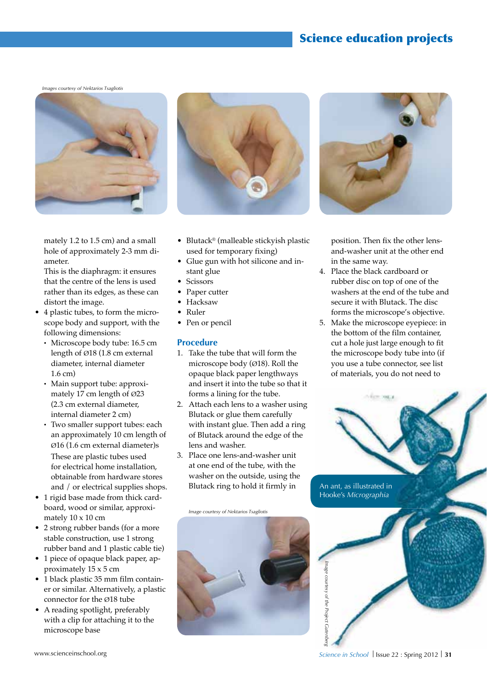*Images courtesy of Nektarios Tsagliotis*



mately 1.2 to 1.5 cm) and a small hole of approximately 2-3 mm diameter.

This is the diaphragm: it ensures that the centre of the lens is used rather than its edges, as these can distort the image.

- • 4 plastic tubes, to form the microscope body and support, with the following dimensions:
	- · Microscope body tube: 16.5 cm length of Ø18 (1.8 cm external diameter, internal diameter 1.6 cm)
	- · Main support tube: approximately 17 cm length of Ø23 (2.3 cm external diameter, internal diameter 2 cm)
	- · Two smaller support tubes: each an approximately 10 cm length of Ø16 (1.6 cm external diameter)s These are plastic tubes used for electrical home installation, obtainable from hardware stores and / or electrical supplies shops.
- 1 rigid base made from thick cardboard, wood or similar, approximately 10 x 10 cm
- 2 strong rubber bands (for a more stable construction, use 1 strong rubber band and 1 plastic cable tie)
- 1 piece of opaque black paper, approximately 15 x 5 cm
- • 1 black plastic 35 mm film container or similar. Alternatively, a plastic connector for the Ø18 tube
- • A reading spotlight, preferably with a clip for attaching it to the microscope base



- Blutack<sup>®</sup> (malleable stickyish plastic used for temporary fixing)
- Glue gun with hot silicone and instant glue
- Scissors
- Paper cutter
- • Hacksaw
- • Ruler
- Pen or pencil

## **Procedure**

- 1. Take the tube that will form the microscope body (Ø18). Roll the opaque black paper lengthways and insert it into the tube so that it forms a lining for the tube.
- 2. Attach each lens to a washer using Blutack or glue them carefully with instant glue. Then add a ring of Blutack around the edge of the lens and washer.
- 3. Place one lens-and-washer unit at one end of the tube, with the washer on the outside, using the Blutack ring to hold it firmly in







position. Then fix the other lensand-washer unit at the other end in the same way.

- 4. Place the black cardboard or rubber disc on top of one of the washers at the end of the tube and secure it with Blutack. The disc forms the microscope's objective.
- 5. Make the microscope eyepiece: in the bottom of the film container, cut a hole just large enough to fit the microscope body tube into (if you use a tube connector, see list of materials, you do not need to

An ant, as illustrated in Hooke's *Micrographia*

*Image courtesy of the Project Gutenberg*

mage courtesy or the Project Cutenber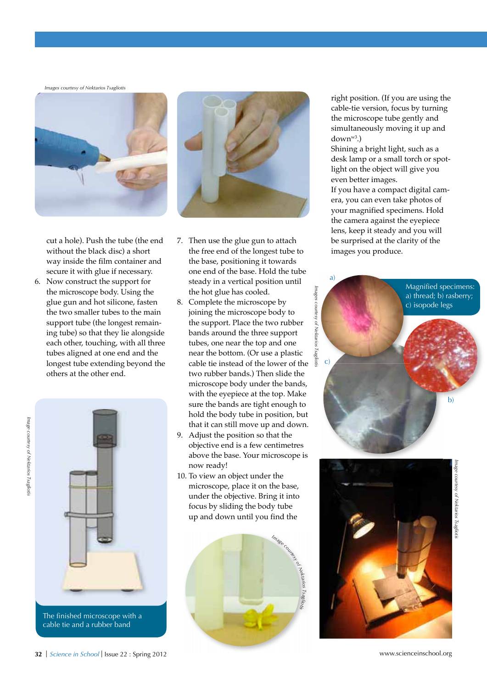*Images courtesy of Nektarios Tsagliotis*



cut a hole). Push the tube (the end without the black disc) a short way inside the film container and secure it with glue if necessary.

6. Now construct the support for the microscope body. Using the glue gun and hot silicone, fasten the two smaller tubes to the main support tube (the longest remaining tube) so that they lie alongside each other, touching, with all three tubes aligned at one end and the longest tube extending beyond the others at the other end.



The finished microscope with a cable tie and a rubber band



- 7. Then use the glue gun to attach the free end of the longest tube to the base, positioning it towards one end of the base. Hold the tube steady in a vertical position until the hot glue has cooled.
- 8. Complete the microscope by joining the microscope body to the support. Place the two rubber bands around the three support tubes, one near the top and one near the bottom. (Or use a plastic cable tie instead of the lower of the two rubber bands.) Then slide the microscope body under the bands, with the eyepiece at the top. Make sure the bands are tight enough to hold the body tube in position, but that it can still move up and down.
- 9. Adjust the position so that the objective end is a few centimetres above the base. Your microscope is now ready!
- 10. To view an object under the microscope, place it on the base, under the objective. Bring it into focus by sliding the body tube up and down until you find the



right position. (If you are using the cable-tie version, focus by turning the microscope tube gently and simultaneously moving it up and downw3.)

Shining a bright light, such as a desk lamp or a small torch or spotlight on the object will give you even better images.

If you have a compact digital camera, you can even take photos of your magnified specimens. Hold the camera against the eyepiece lens, keep it steady and you will be surprised at the clarity of the images you produce.

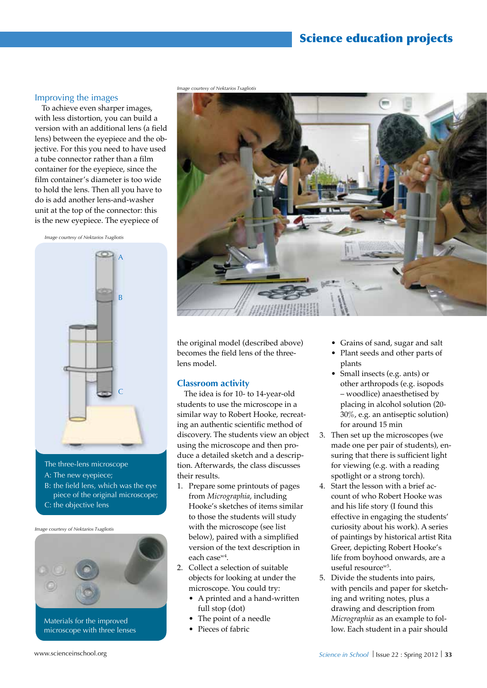# Science education projects

#### Improving the images

To achieve even sharper images, with less distortion, you can build a version with an additional lens (a field lens) between the eyepiece and the objective. For this you need to have used a tube connector rather than a film container for the eyepiece, since the film container's diameter is too wide to hold the lens. Then all you have to do is add another lens-and-washer unit at the top of the connector: this is the new eyepiece. The eyepiece of

*Image courtesy of Nektarios Tsagliotis*



The three-lens microscope

- A: The new eyepiece;
- B: the field lens, which was the eye piece of the original microscope; C: the objective lens

*Image courtesy of Nektarios Tsagliotis*



microscope with three lenses



the original model (described above) becomes the field lens of the threelens model.

#### **Classroom activity**

The idea is for 10- to 14-year-old students to use the microscope in a similar way to Robert Hooke, recreating an authentic scientific method of discovery. The students view an object using the microscope and then produce a detailed sketch and a description. Afterwards, the class discusses their results.

- 1. Prepare some printouts of pages from *Micrographia*, including Hooke's sketches of items similar to those the students will study with the microscope (see list below), paired with a simplified version of the text description in each casew4.
- 2. Collect a selection of suitable objects for looking at under the microscope. You could try:
	- A printed and a hand-written full stop (dot)
	- The point of a needle
	- Pieces of fabric
- Grains of sand, sugar and salt
- Plant seeds and other parts of plants
- Small insects (e.g. ants) or other arthropods (e.g. isopods – woodlice) anaesthetised by placing in alcohol solution (20- 30%, e.g. an antiseptic solution) for around 15 min
- 3. Then set up the microscopes (we made one per pair of students), ensuring that there is sufficient light for viewing (e.g. with a reading spotlight or a strong torch).
- 4. Start the lesson with a brief account of who Robert Hooke was and his life story (I found this effective in engaging the students' curiosity about his work). A series of paintings by historical artist Rita Greer, depicting Robert Hooke's life from boyhood onwards, are a useful resourcew5.
- 5. Divide the students into pairs, with pencils and paper for sketching and writing notes, plus a drawing and description from *Micrographia* as an example to follow. Each student in a pair should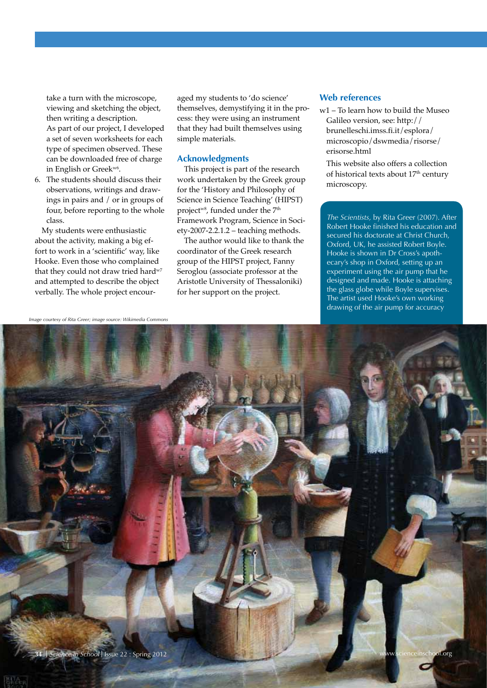take a turn with the microscope, viewing and sketching the object, then writing a description. As part of our project, I developed a set of seven worksheets for each type of specimen observed. These can be downloaded free of charge in English or Greek<sup>w6</sup>.

6. The students should discuss their observations, writings and drawings in pairs and / or in groups of four, before reporting to the whole class.

My students were enthusiastic about the activity, making a big effort to work in a 'scientific' way, like Hooke. Even those who complained that they could not draw tried hard<sup>w7</sup> and attempted to describe the object verbally. The whole project encouraged my students to 'do science' themselves, demystifying it in the process: they were using an instrument that they had built themselves using simple materials.

#### **Acknowledgments**

This project is part of the research work undertaken by the Greek group for the 'History and Philosophy of Science in Science Teaching' (HIPST) project<sup>w8</sup>, funded under the 7<sup>th</sup> Framework Program, Science in Society-2007-2.2.1.2 – teaching methods.

The author would like to thank the coordinator of the Greek research group of the HIPST project, Fanny Seroglou (associate professor at the Aristotle University of Thessaloniki) for her support on the project.

## **Web references**

w1 – To learn how to build the Museo Galileo version, see: http:// brunelleschi.imss.fi.it/esplora/ microscopio/dswmedia/risorse/ erisorse.html

 This website also offers a collection of historical texts about 17<sup>th</sup> century microscopy.

*The Scientists,* by Rita Greer (2007). After Robert Hooke finished his education and secured his doctorate at Christ Church, Oxford, UK, he assisted Robert Boyle. Hooke is shown in Dr Cross's apothecary's shop in Oxford, setting up an experiment using the air pump that he designed and made. Hooke is attaching the glass globe while Boyle supervises. The artist used Hooke's own working drawing of the air pump for accuracy